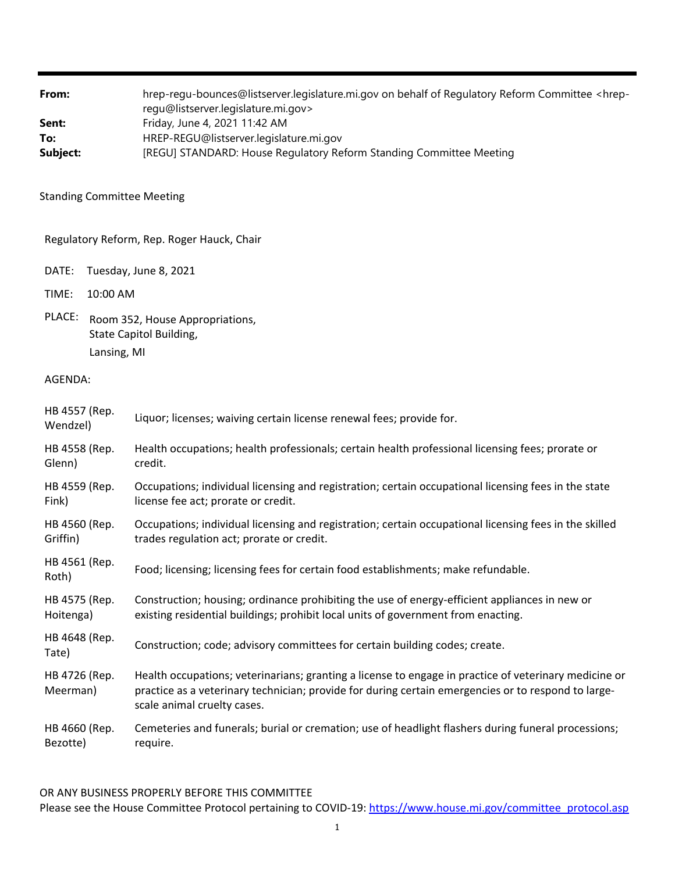From: hrep-regu-bounces@listserver.legislature.mi.gov on behalf of Regulatory Reform Committee <hrepregu@listserver.legislature.mi.gov> **Sent:** Friday, June 4, 2021 11:42 AM **To:** HREP-REGU@listserver.legislature.mi.gov **Subject:** [REGU] STANDARD: House Regulatory Reform Standing Committee Meeting

Standing Committee Meeting

Regulatory Reform, Rep. Roger Hauck, Chair

DATE: Tuesday, June 8, 2021

TIME: 10:00 AM

PLACE: Room 352, House Appropriations, State Capitol Building, Lansing, MI

AGENDA:

| HB 4557 (Rep.<br>Wendzel) | Liquor; licenses; waiving certain license renewal fees; provide for.                                                                                                                                                                        |
|---------------------------|---------------------------------------------------------------------------------------------------------------------------------------------------------------------------------------------------------------------------------------------|
| HB 4558 (Rep.             | Health occupations; health professionals; certain health professional licensing fees; prorate or                                                                                                                                            |
| Glenn)                    | credit.                                                                                                                                                                                                                                     |
| HB 4559 (Rep.             | Occupations; individual licensing and registration; certain occupational licensing fees in the state                                                                                                                                        |
| Fink)                     | license fee act; prorate or credit.                                                                                                                                                                                                         |
| HB 4560 (Rep.             | Occupations; individual licensing and registration; certain occupational licensing fees in the skilled                                                                                                                                      |
| Griffin)                  | trades regulation act; prorate or credit.                                                                                                                                                                                                   |
| HB 4561 (Rep.<br>Roth)    | Food; licensing; licensing fees for certain food establishments; make refundable.                                                                                                                                                           |
| HB 4575 (Rep.             | Construction; housing; ordinance prohibiting the use of energy-efficient appliances in new or                                                                                                                                               |
| Hoitenga)                 | existing residential buildings; prohibit local units of government from enacting.                                                                                                                                                           |
| HB 4648 (Rep.<br>Tate)    | Construction; code; advisory committees for certain building codes; create.                                                                                                                                                                 |
| HB 4726 (Rep.<br>Meerman) | Health occupations; veterinarians; granting a license to engage in practice of veterinary medicine or<br>practice as a veterinary technician; provide for during certain emergencies or to respond to large-<br>scale animal cruelty cases. |
| HB 4660 (Rep.             | Cemeteries and funerals; burial or cremation; use of headlight flashers during funeral processions;                                                                                                                                         |
| Bezotte)                  | require.                                                                                                                                                                                                                                    |

OR ANY BUSINESS PROPERLY BEFORE THIS COMMITTEE

Please see the House Committee Protocol pertaining to COVID-19: https://www.house.mi.gov/committee\_protocol.asp